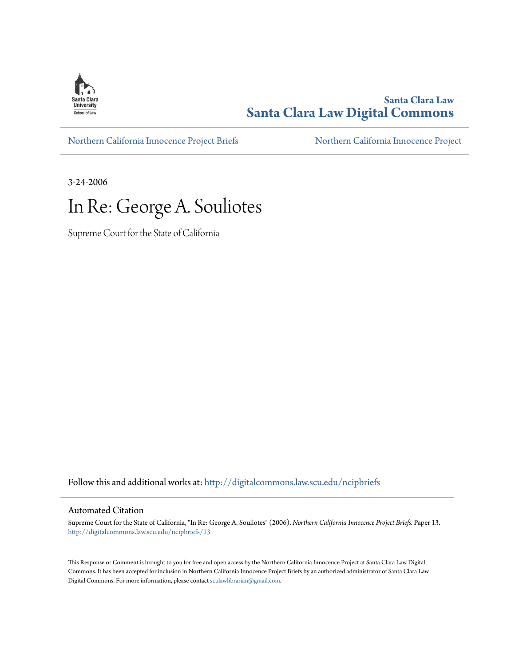

**Santa Clara Law [Santa Clara Law Digital Commons](http://digitalcommons.law.scu.edu?utm_source=digitalcommons.law.scu.edu%2Fncipbriefs%2F13&utm_medium=PDF&utm_campaign=PDFCoverPages)**

[Northern California Innocence Project Briefs](http://digitalcommons.law.scu.edu/ncipbriefs?utm_source=digitalcommons.law.scu.edu%2Fncipbriefs%2F13&utm_medium=PDF&utm_campaign=PDFCoverPages) [Northern California Innocence Project](http://digitalcommons.law.scu.edu/ncip?utm_source=digitalcommons.law.scu.edu%2Fncipbriefs%2F13&utm_medium=PDF&utm_campaign=PDFCoverPages)

3-24-2006

# In Re: George A. Souliotes

Supreme Court for the State of California

Follow this and additional works at: [http://digitalcommons.law.scu.edu/ncipbriefs](http://digitalcommons.law.scu.edu/ncipbriefs?utm_source=digitalcommons.law.scu.edu%2Fncipbriefs%2F13&utm_medium=PDF&utm_campaign=PDFCoverPages)

#### Automated Citation

Supreme Court for the State of California, "In Re: George A. Souliotes" (2006). *Northern California Innocence Project Briefs.* Paper 13. [http://digitalcommons.law.scu.edu/ncipbriefs/13](http://digitalcommons.law.scu.edu/ncipbriefs/13?utm_source=digitalcommons.law.scu.edu%2Fncipbriefs%2F13&utm_medium=PDF&utm_campaign=PDFCoverPages)

This Response or Comment is brought to you for free and open access by the Northern California Innocence Project at Santa Clara Law Digital Commons. It has been accepted for inclusion in Northern California Innocence Project Briefs by an authorized administrator of Santa Clara Law Digital Commons. For more information, please contact [sculawlibrarian@gmail.com](mailto:sculawlibrarian@gmail.com).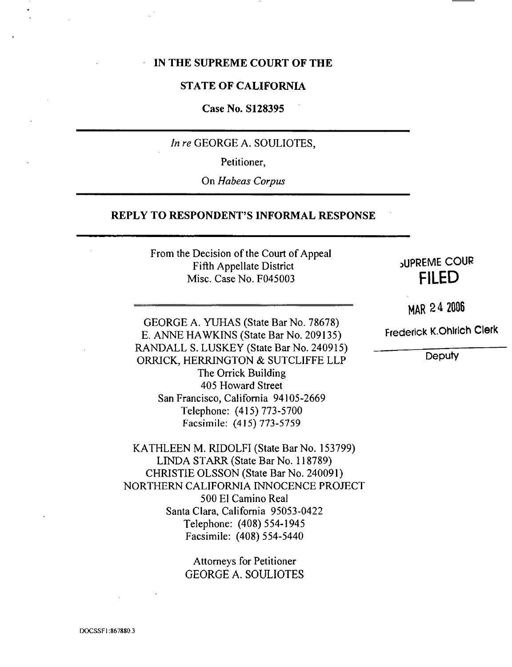#### **IN THE SUPREME COURT** OF **THE**

#### **STATE OF CALIFORNIA**

#### **Case No. S128395**

*In re* GEORGE A. SOULIOTES,

Petitioner,

On *Habeas Corpus*

#### **REPLY TO RESPONDENT'S INFORMAL RESPONSE**

From the Decision of the Court of **Appeal** Fifth Appellate District Misc. Case No. F045003

# \_UPREME COUR FILED

**HAR2 4 2006**

**Frederick** K.Ohlrlch **Clerk**

Deputy

GEORGE A. YUHAS (State Bar No. 78678) E. *ANNE* HAWKINS (State Bar No. 209135) RANDALL S. LUSKEY (State Bar No. 240915) ORRICK, HERRINGTON & SUTCLIFFE LLP The *Orrick* Building 405 Howard Street San Francisco, California 94105-2669 Telephone: (415) 773-5700 Facsimile: (415) 773-5759

KATHLEEN M. RIDOLFI (State Bar No. 153799) LINDA STARR (State Bar No. 118789) CHRISTIE OLSSON (State Bar No. 240091) NORTHERN CALIFORNIA INNOCENCE PROJECT 500 El Camino Real Santa Clara, California 95053-0422 Telephone: (408) 554-1945 Facsimile: (408) 554-5440

> **Attorneys** for **Petitioner** GEORGE *A.* SOULIOTES

DOCSSFI:867880.3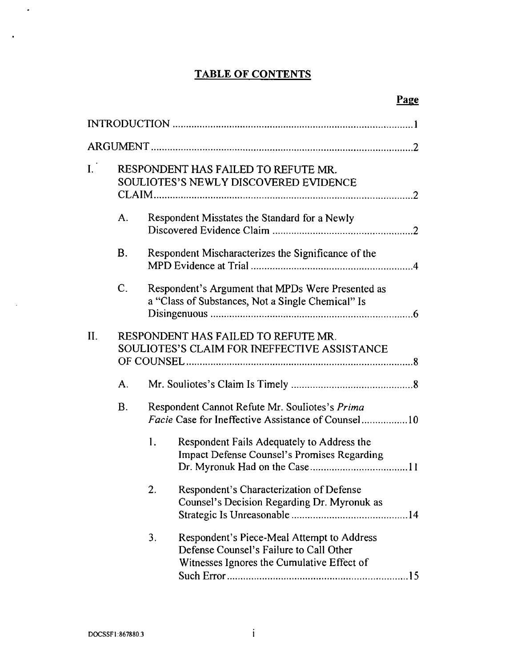# **TABLE** OF **CONTENTS**

| $\mathbf{I}$ . | RESPONDENT HAS FAILED TO REFUTE MR.<br><b>SOULIOTES'S NEWLY DISCOVERED EVIDENCE</b> |                                                                                                             |                                                                                                                                     |  |  |
|----------------|-------------------------------------------------------------------------------------|-------------------------------------------------------------------------------------------------------------|-------------------------------------------------------------------------------------------------------------------------------------|--|--|
|                | A.                                                                                  | Respondent Misstates the Standard for a Newly                                                               |                                                                                                                                     |  |  |
|                | <b>B.</b>                                                                           | Respondent Mischaracterizes the Significance of the                                                         |                                                                                                                                     |  |  |
|                | $\mathsf{C}$ .                                                                      | Respondent's Argument that MPDs Were Presented as<br>a "Class of Substances, Not a Single Chemical" Is      |                                                                                                                                     |  |  |
| II.            | RESPONDENT HAS FAILED TO REFUTE MR.<br>SOULIOTES'S CLAIM FOR INEFFECTIVE ASSISTANCE |                                                                                                             |                                                                                                                                     |  |  |
|                | A <sub>1</sub>                                                                      |                                                                                                             |                                                                                                                                     |  |  |
|                | <b>B.</b>                                                                           | Respondent Cannot Refute Mr. Souliotes's Prima<br><i>Facie</i> Case for Ineffective Assistance of Counsel10 |                                                                                                                                     |  |  |
|                |                                                                                     | 1.                                                                                                          | Respondent Fails Adequately to Address the<br>Impact Defense Counsel's Promises Regarding                                           |  |  |
|                |                                                                                     | 2.                                                                                                          | Respondent's Characterization of Defense<br>Counsel's Decision Regarding Dr. Myronuk as                                             |  |  |
|                |                                                                                     | 3.                                                                                                          | Respondent's Piece-Meal Attempt to Address<br>Defense Counsel's Failure to Call Other<br>Witnesses Ignores the Cumulative Effect of |  |  |

 $\ddot{\phantom{a}}$ 

 $\ddot{\phantom{a}}$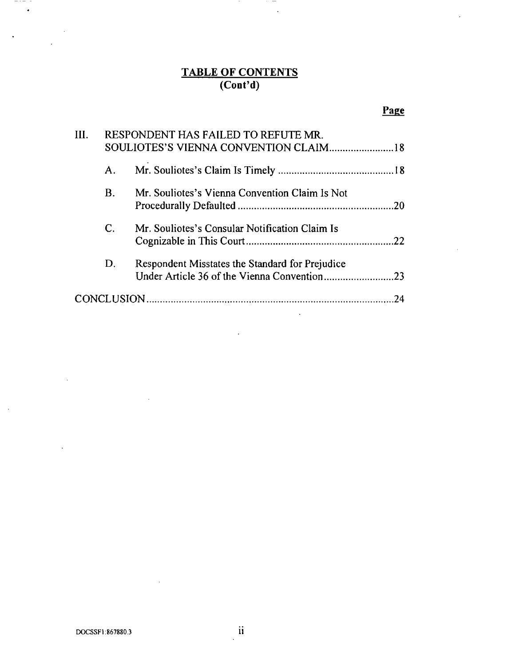#### **TABLE OF CONTEN (Cont'd)**

 $\sim$   $-$ 

 $\cdots$   $-$ 

# Page

J.

| III. |                | RESPONDENT HAS FAILED TO REFUTE MR.             |    |
|------|----------------|-------------------------------------------------|----|
|      |                | SOULIOTES'S VIENNA CONVENTION CLAIM 18          |    |
|      | Α.             |                                                 |    |
|      | <b>B</b> .     | Mr. Souliotes's Vienna Convention Claim Is Not  |    |
|      | $\mathbf{C}$ . | Mr. Souliotes's Consular Notification Claim Is  |    |
|      | D.             | Respondent Misstates the Standard for Prejudice |    |
|      |                |                                                 | 24 |

 $\ddot{\phantom{a}}$ 

 $\ddot{\phantom{a}}$ 

 $\ddot{\phantom{a}}$ 

 $\ddot{\phantom{a}}$ 

 $\sim$ 

 $- - - -$ 

 $\ddot{\phantom{a}}$ 

 $\bullet$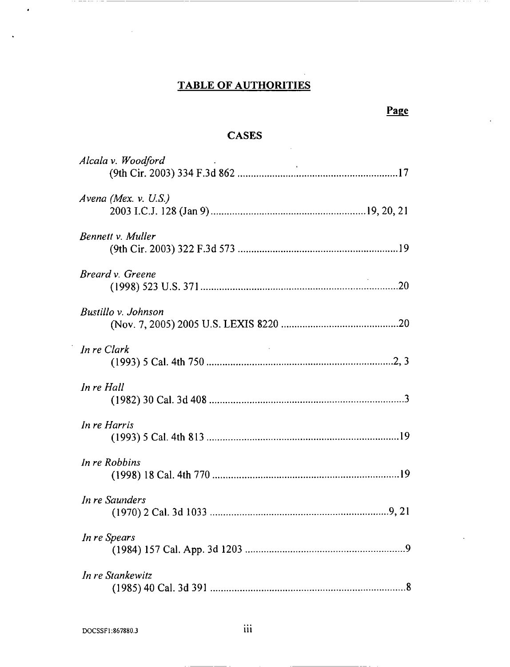# **TABLE** OF AUTHORITIES

 $\cdot$   $\cdot$   $\cdot$   $\cdot$ 

## **CASES**

| Alcala v. Woodford     |
|------------------------|
| Avena (Mex. $v.$ U.S.) |
| Bennett v. Muller      |
| Breard v. Greene       |
| Bustillo v. Johnson    |
| In re Clark            |
| In re Hall             |
| In re Harris           |
| In re Robbins          |
| In re Saunders         |
| In re Spears           |
| In re Stankewitz       |

. . \_\_\_. . . . \_ \_

 $\bullet$ 

 $\ddot{\phantom{0}}$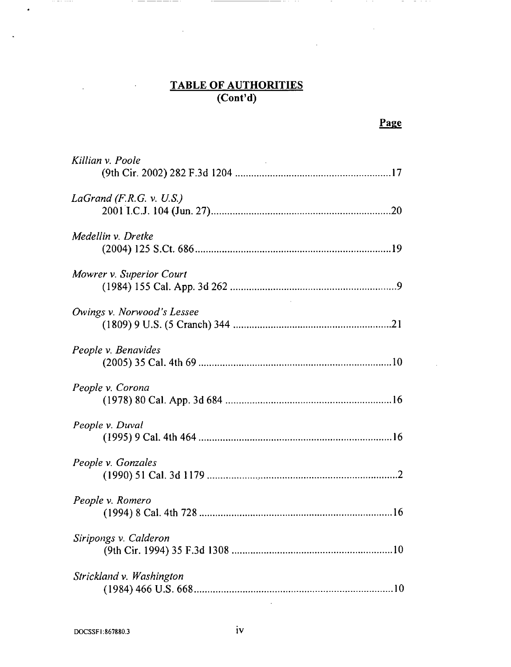#### **TABLE OF AUTHORI (Cont'd)**

 $-$ 

 $-$ 

 $\ddot{\phantom{a}}$ 

 $-$ 

| Killian v. Poole           |
|----------------------------|
| LaGrand $(F.R.G. v. U.S.)$ |
| Medellin v. Dretke         |
| Mowrer v. Superior Court   |
| Owings v. Norwood's Lessee |
| People v. Benavides        |
| People v. Corona           |
| People v. Duval            |
| People v. Gonzales         |
| People v. Romero           |
| Siripongs v. Calderon      |
| Strickland v. Washington   |

 $\cdots$  =  $\cdots$   $\cdots$ 

 $\hat{\bullet}$ 

 $\ddot{\phantom{a}}$ 

\_\_\_\_\_\_\_

 $\epsilon$ 

 $\ddot{\phantom{1}}$ 

 $\sim$   $\alpha$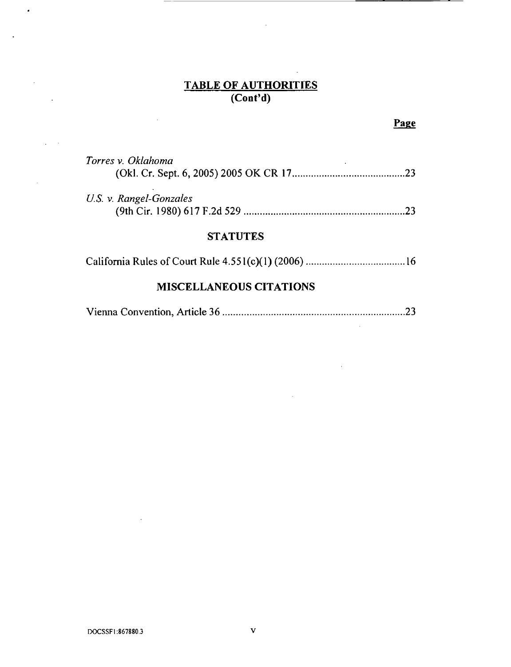#### **TABLE OF AUTHORIT (Cont'd)**

 $\ddot{\phantom{a}}$ 

# Page

 $\bar{z}$ 

 $\ddot{\phantom{a}}$  .

| Torres v. Oklahoma<br>.23      |  |  |  |  |  |
|--------------------------------|--|--|--|--|--|
| U.S. v. Rangel-Gonzales<br>フマ  |  |  |  |  |  |
| <b>STATUTES</b>                |  |  |  |  |  |
|                                |  |  |  |  |  |
| <b>MISCELLANEOUS CITATIONS</b> |  |  |  |  |  |

|--|--|

 $\cdot$ 

 $\ddot{\phantom{a}}$ 

 $\ddot{\phantom{a}}$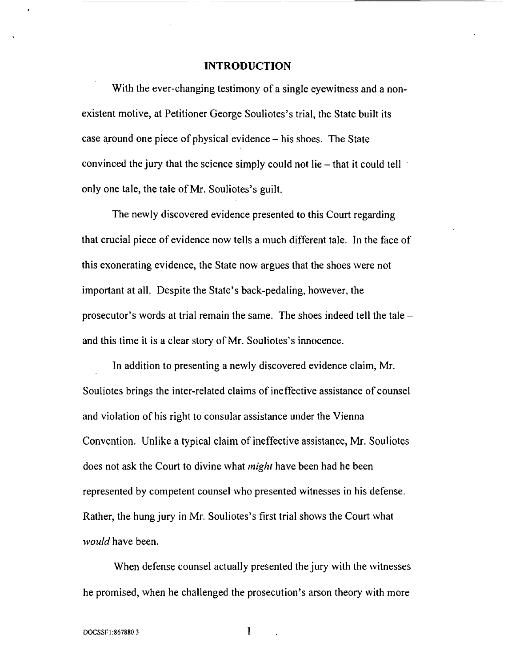#### INTRODUCTION

With the ever-changing testimony of a single eyewitness and a nonexistent motive, at Petitioner George Souliotes's trial, the State built its case around one piece of physical evidence – his shoes. The State convinced the jury that the science simply could not lie **-** that it could tell only one tale, the tale of Mr. Souliotes's guilt.

The newly discovered evidence presented to this Court regarding that crucial piece of evidence now tells a much different tale. In the face of this exonerating evidence, the State now argues that the shoes were not important at all. Despite the State's back-pedaling, however, the prosecutor's words at trial remain the same. The shoes indeed tell the tale  and this time it is a clear story of Mr. Souliotes's innocence.

In addition to presenting a newly discovered evidence claim, Mr. Souliotes brings the inter-related claims of ineffective assistance of counsel and violation of his right to consular assistance under the Vienna Convention. Unlike a typical claim of ineffective assistance, Mr. Souliotes does not ask the Court to divine what *might* have been had he been represented by competent counsel who presented witnesses in his defense. Rather, the hung jury in Mr. Souliotes's first trial shows the Court what *would* have been.

When defense counsel actually presented the jury with the witnesses he promised, when he challenged the prosecution's arson theory with more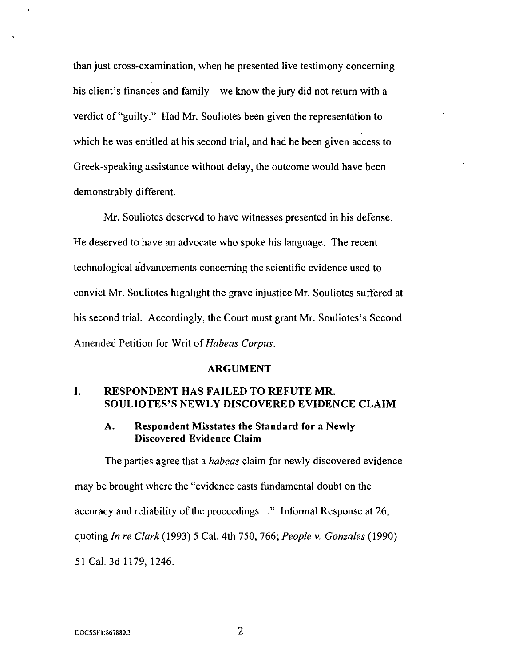than just cross-examination, when he presented live testimony concerning his client's finances and family – we know the jury did not return with a verdict of "guilty." Had Mr. Souliotes been given the representation to which he was entitled at his second trial, and had he been given access to Greek-speaking assistance without delay, the outcome would have been demonstrably different.

Mr. Souliotes deserved to have witnesses presented in his defense. He deserved to have an advocate who spoke his language. The recent technological advancements concerning the scientific evidence used to convict Mr. Souliotes highlight the grave injustice Mr. Souliotes suffered at his second trial. *Accordingly,* the Court must grant Mr. Souliotes's Second *Amended* Petition for Writ of *Habeas Corpus.*

#### ARGUMENT

## **I. RESPONDENT HAS FAILED TO** REFUTE **MR. SOULIOTES'S NEWLY DISCOVERED EVIDENCE CLAIM**

### **A. Respondent Misstates the Standard for a Newly Discovered Evidence Claim**

The parties **agree** that a *habeas* claim for newly discovered evidence may be brought where the "evidence casts fundamental doubt on the accuracy and reliability of the proceedings ..." Informal Response at 26, quoting *In re Clark* (1993) 5 Cal. 4th 750, 766; *People v. Gonzales* (1990) 51 Cal. 3d 1179, 1246.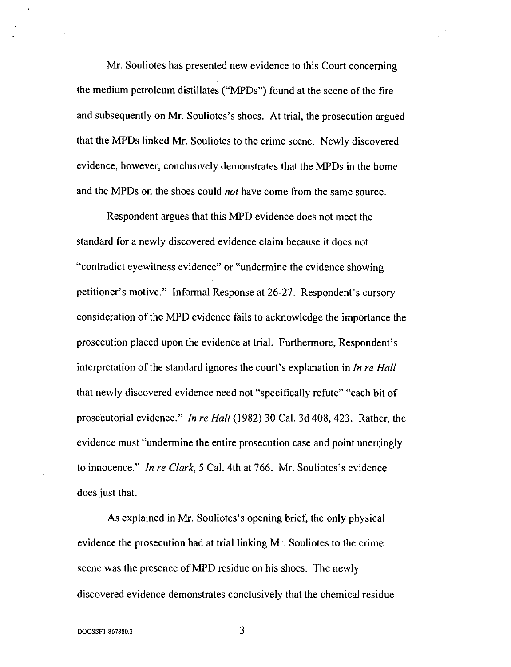Mr. Souliotes has presented new evidence to this Court concerning the medium petroleum distillates ("MPDs") found at the scene of the fire and subsequently on Mr. Souliotes's shoes. At trial, the prosecution argued that the MPDs linked Mr. Souliotes to the crime scene. Newly discovered evidence, however, conclusively demonstrates that the MPDs in the home and the MPDs on the shoes could *not* have come from the same source.

Respondent argues that this MPD evidence does not meet the standard for a newly discovered evidence claim because it does not "contradict eyewitness evidence" or "undermine the evidence showing petitioner's motive." Informal Response at 26-27. Respondent's cursory consideration of the MPD evidence fails to acknowledge the importance the prosecution placed upon the evidence at trial. Furthermore, Respondent's interpretation of the standard ignores the court's explanation in *In re Hall* that newly discovered evidence need not "specifically refute" "each bit of prosecutorial evidence." *In re Hall* (1982) 30 Cal. 3d 408, 423. Rather, the evidence must "undermine the entire prosecution case and point unerringly to innocence." *In re Clark,* 5 Cal. 4th at 766. Mr. Souliotes's evidence does just that.

As explained in Mr. Souliotes's opening brief, the only physical evidence the prosecution had at trial linking Mr. Souliotes to the crime scene was the presence of MPD residue on his shoes. *The* newly discovered evidence demonstrates conclusively that the chemical residue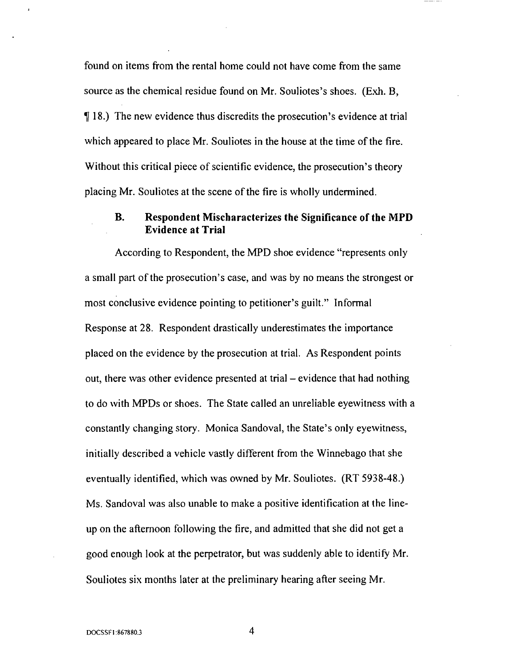found on items from the rental home could not have come from the same source as the chemical residue found on Mr. Souliotes's shoes. (Exh. B, ¶ 18.) The new evidence thus discredits the prosecution's evidence at trial which appeared to place Mr. Souliotes in the house at the time of the fire. Without this critical piece of scientific evidence, the prosecution's theory placing Mr. Souliotes at the scene of the fire is wholly undermined.

## B. Respondent Mischaracterizes the Significance of the MPD Evidence at Trial

According to Respondent, the MPD shoe evidence "represents only a small part of the prosecution's case, and was by no means the strongest or most conclusive evidence pointing to petitioner's guilt." Informal Response at 28. Respondent drastically underestimates the importance placed on the evidence by the prosecution at trial. As Respondent points out, there was other evidence presented at trial – evidence that had nothing to do with MPDs or shoes. The State called an unreliable eyewitness with a constantly changing story. Monica Sandoval, the State's only eyewitness, initially described a vehicle vastly different from the Winnebago that she eventually identified, which was owned by Mr. Souliotes. (RT 5938-48.) Ms. Sandoval was also unable to make a positive identification at the lineup on the afternoon following the fire, and admitted that she did not get a good enough look at the perpetrator, but was suddenly able to identify Mr. Souliotes six months later at the preliminary hearing after seeing Mr.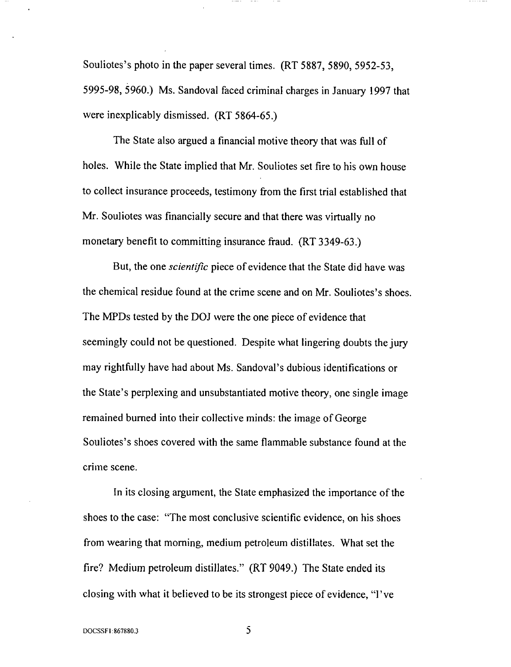Souliotes's photo in the paper several times. (RT 5887, 5890, 5952-53, 5995-98, 5960.) Ms. Sandoval faced criminal charges in January 1997 that were inexplicably dismissed. (RT 5864-65.)

The State also argued a financial motive theory that was full of holes. While the State implied that Mr. Souliotes set fire to his own house to collect insurance proceeds, testimony from the first trial established that Mr. Souliotes was financially secure and that there was virtually no monetary benefit to committing insurance fraud. (RT 3349-63.)

But, the one *scientific* piece of evidence that the State did have was the chemical residue found at the crime scene and on Mr. Souliotes's shoes. The MPDs tested by the DOJ were the one piece of evidence that seemingly could not be questioned. Despite what lingering doubts the jury may rightfully have had about Ms. Sandoval's dubious identifications or the State's perplexing and unsubstantiated motive theory, one single image remained burned into their collective minds: the image of George Souliotes's shoes covered with the same flammable substance found at the crime scene.

In its closing argument, the State emphasized the importance of the shoes to the case: "The most conclusive scientific evidence, on his shoes from wearing that morning, medium petroleum distillates. What set the fire? Medium petroleum distillates." (RT 9049.) The State ended its closing with what it believed to be its strongest piece of evidence, "l've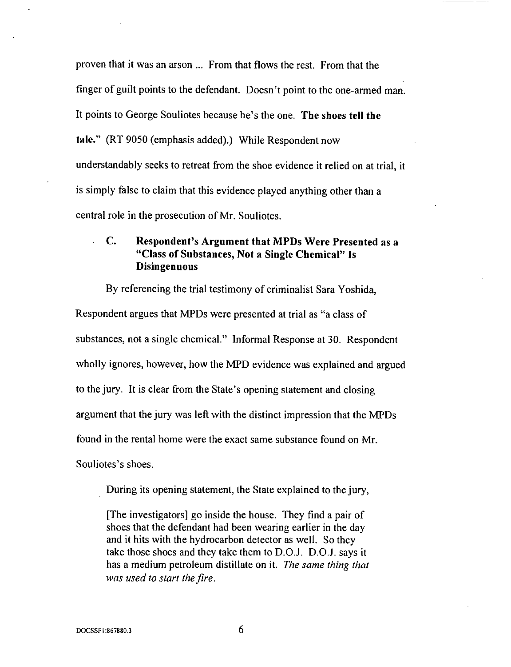proven that it was an arson ... From that flows the rest. From that the finger of guilt points to the defendant. Doesn't point to the one-armed man. It points to George Souliotes because he's the one. The shoes tell the **tale."** (RT 9050 (emphasis added).) While Respondent now understandably seeks to retreat from the shoe evidence it relied on at trial, it is simply false to claim that this evidence played anything other than a central role in the prosecution of Mr. Souliotes.

# *C.* Respondent's Argument that MPDs Were Presented as a "Class of Substances, Not a Single Chemical" Is Disingenuous

By referencing the trial testimony of criminalist Sara Yoshida,

Respondent argues that MPDs were presented at trial as "a class of substances, not a single chemical." Informal Response at 30. Respondent wholly ignores, however, how the MPD evidence was explained and argued to the jury. It is clear from the State's opening statement and closing argument that the jury was left with the distinct impression that the MPDs found in the rental home were the exact same substance found on Mr. Souliotes's shoes.

During its opening statement, the State explained to the jury,

[The investigators] go inside the house. *They* find a pair of shoes that the defendant had been wearing earlier in the day and it hits with the hydrocarbon detector as well. So they take those shoes and they take them to  $D.O.J. D.O.J.$  says it has a medium petroleum distillate on it. *The same thing that was used to start the fire.*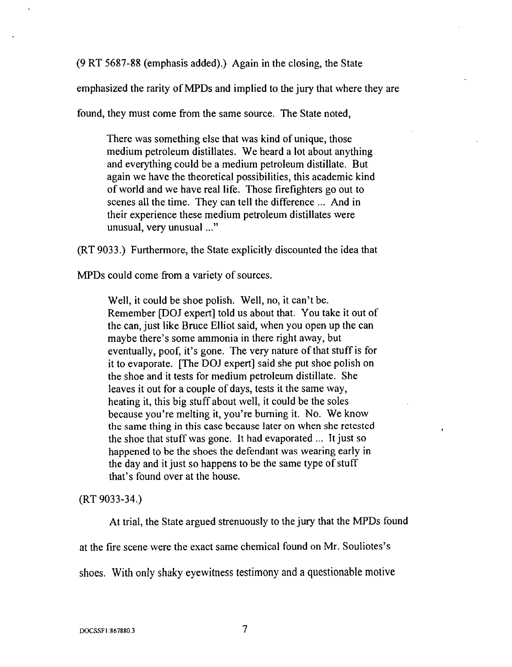(9 RT 5687-88 (emphasis added).) Again in the closing, the State

emphasized the rarity of MPDs and implied to the jury that where they are

found, they must come from the same source. *The* State noted,

There was something else that was kind of unique, those medium petroleum distillates. We heard a lot about anything and everything could be a medium petroleum distillate. But again we have the theoretical possibilities, this academic kind of world and we have real life. Those firefighters go out to scenes all the time. They can tell the difference ... And in their experience these medium petroleum distillates were unusual, very unusual ..."

(RT 9033.) Furthermore, the State explicitly discounted the idea that

MPDs could come from a variety of sources.

Well, it could be shoe polish. Well, no, it can't be. Remember [DOJ expert] told us about that. You take it out of the can, just like Bruce Elliot said, when you open up the can maybe there's some ammonia in there right away, but eventually, poof, it's gone. The very nature of that stuff is for it to evaporate. [The DOJ expert] said she put shoe polish on the shoe and it tests for medium petroleum distillate. She leaves it out for a couple of days, tests it the same way, heating it, this big stuff about well, it could be the soles because you're melting it, you're burning it. No. We know the same thing in this case because later on when she retested the shoe that stuff was gone. It had evaporated ... It just so happened to be the shoes the defendant was wearing early in the day and it just so happens to be the same type of stuff that's found over at the house.

(RT 9033-34.)

At trial, the State argued strenuously to the jury that the MPDs found

at the fire scene were the exact same chemical found on Mr. Souliotes's

shoes. With only shaky eyewitness testimony and a questionable motive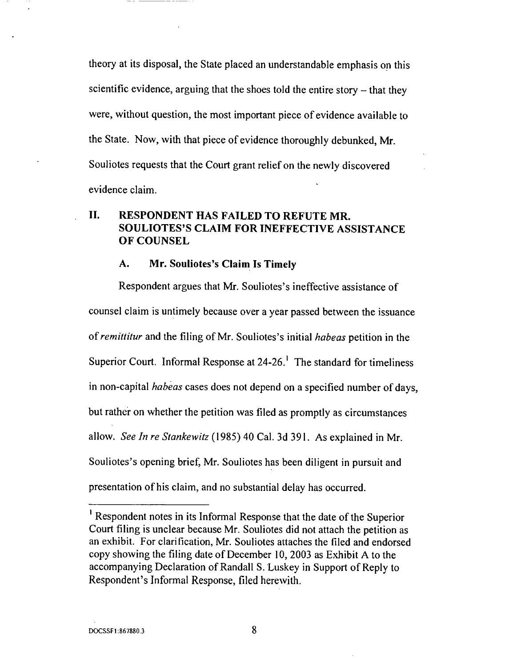theory at its disposal, the State placed an understandable emphasis on this scientific evidence, arguing that the shoes told the entire story  $-$  that they were, without question, the most important piece of evidence available to the State. Now, with that piece of evidence thoroughly debunked, Mr. Souliotes requests that the Court grant relief on the newly discovered evidence claim.

# **II. RESPONDENT HAS FAILED TO REFUTE MR. SOULIOTES'S CLAIM FOR INEFFECTIVE ASSISTANCE OF COUNSEL**

#### **A. Mr. Souliotes's Claim Is Timely**

Respondent argues **that** Mr. Souliotes's **ineffective** assistance of counsel claim is untimely because over a year passed between the issuance of *remittitur* and the filing of Mr. Souliotes's initial *habeas* petition in the Superior Court. Informal Response at 24-26.<sup>1</sup> The standard for timeliness in non-capital *habeas* cases does not depend on a specified number of days, but rather on whether the petition was filed as promptly as circumstances allow. *See In re Stankewitz* (1985) 40 Cal. 3d 391. As explained in Mr. Souliotes's opening brief, Mr. Souliotes has been diligent in pursuit and presentation of his claim, and no substantial delay has occurred.

Respondent notes in its Informal Response that the date of **the** Superior Court filing is unclear because Mr. Souliotes did not attach the petition as an exhibit. For clarification, Mr. Souliotes attaches the filed and endorsed copy showing the filing date of December 10, 2003 as Exhibit A to the accompanying Declaration of Randall S. Luskey in Support of Reply to Respondent's Informal Response, filed herewith.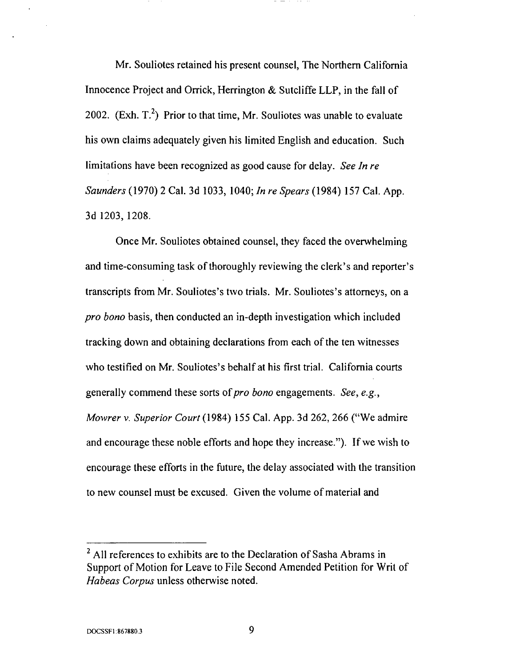Mr. Souliotes retained his present counsel, The Northern California Innocence Project and Orrick, Herrington & Sutcliffe LLP, in the fall of 2002. (Exh.  $T<sup>2</sup>$ ) Prior to that time, Mr. Souliotes was unable to evaluate his own claims adequately given his limited English and education. Such limitations have been recognized as good cause for delay. *See In re Saunders* (1970) 2 Cal. 3d 1033, 1040; *In re Spears* (1984) 157 Cal. App. 3d 1203, 1208.

Once Mr. Souliotes obtained counsel, they faced the overwhelming and time-consuming task of thoroughly reviewing the clerk's and reporter's transcripts from Mr. Souliotes's two trials. Mr. Souliotes's attorneys, on a *pro bono* basis, then conducted an in-depth investigation which included tracking down and obtaining declarations from each of the ten witnesses who testified on Mr. Souliotes's behalf at his first trial. California courts generally commend these sorts of *pro bono* engagements. *See, e.g., Mowrer v. Superior Court* (1984) 155 Cal. *App.* 3d 262, 266 ("We admire and encourage these noble efforts and hope they increase."). If we wish to encourage these efforts in the future, the delay associated with the transition to new counsel must be excused. Given the volume of material and

 $<sup>2</sup>$  All references to exhibits are to the Declaration of Sasha Abrams in</sup> Support of Motion for Leave to File Second *Amended* Petition for Writ of *Habeas Corpus* unless otherwise noted.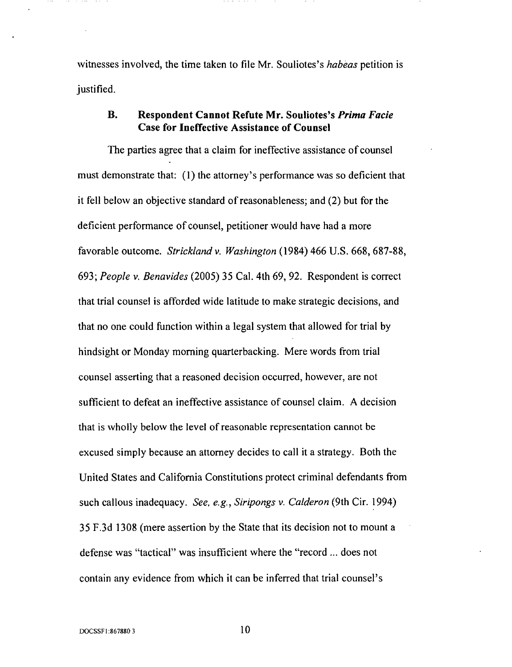witnesses involved, the time taken to file Mr. Souliotes's *habeas* petition is justified.

## B. **Respondent Cannot** Refute **Mr. Souliotes's** *Prima Facie* **Case for Ineffective Assistance of Counsel**

The parties **agree** that a claim for ineffective assistance of counsel must demonstrate that: (1) the attorney's performance was so deficient that it fell below an objective standard of reasonableness; and (2) but for the deficient performance of counsel, petitioner would have had a more favorable outcome. *Strickland v. Washington* (1984) 466 U.S. 668, 687-88, 693; *People v. Benavides* (2005) 35 Cal. 4th 69, 92. Respondent is correct that trial counsel is afforded wide latitude to make strategic decisions, and that no one could function within a legal system that allowed for trial by hindsight or Monday morning quarterbacking. Mere words from trial counsel asserting that a reasoned decision occurred, however, are not sufficient to defeat an ineffective assistance of counsel claim. A decision that is wholly below the level of reasonable representation cannot be excused simply because an attorney decides to call it a strategy. Both the United States and California Constitutions protect criminal defendants from such callous inadequacy. *See, e.g., Siripongs v. Calderon* (9th Cir. 1994) 35 F.3d 1308 (mere assertion by the State that its decision not to mount a defense was "tactical" was insufficient where the "record ... does not contain any evidence from which it can be inferred that trial counsel's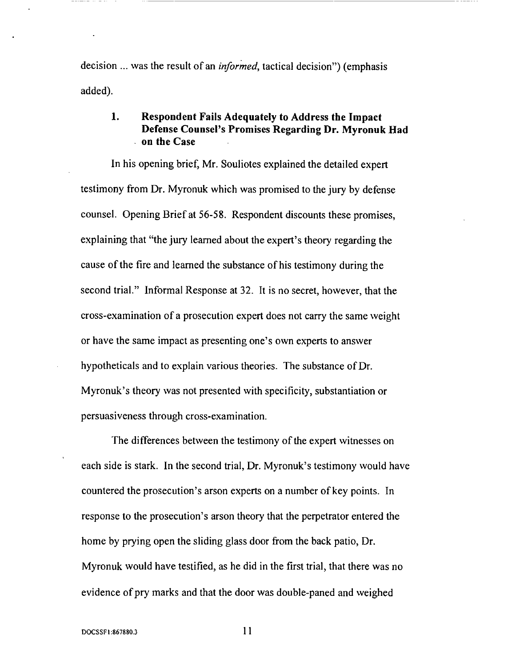decision ... was the result of an *informed,* tactical decision") (emphasis added).

# **1. Respondent Fails Adequately to Address** the Impact **Defense Counsel's Promises Regarding Dr. Myronuk Had** • **on the Case**

**In** his **opening brief, Mr. Souliotes** explained **the detailed** expert testimony from Dr. Myronuk which was promised to the jury by defense counsel. Opening Brief at 56-58. Respondent discounts these promises, explaining that "the jury learned about the expert's theory regarding the cause of the fire and learned the substance of his testimony during the second trial." Informal Response at 32. It is no secret, however, that the cross-examination of a prosecution expert does not carry the same weight or have the same impact as presenting one's own experts to answer hypotheticals and to explain various theories. The substance of Dr. Myronuk's theory was not presented with specificity, substantiation or persuasiveness through cross-examination.

The differences between the testimony of the expert witnesses on each side is stark. In the second trial, Dr. Myronuk's testimony would have countered the prosecution's arson experts on a number of key points. In response to the prosecution's arson theory that the perpetrator entered the home by prying open the sliding glass door from the back patio, Dr. Myronuk would have testified, as he did in the first trial, that there was no evidence of pry marks and that the door was double-paned and weighed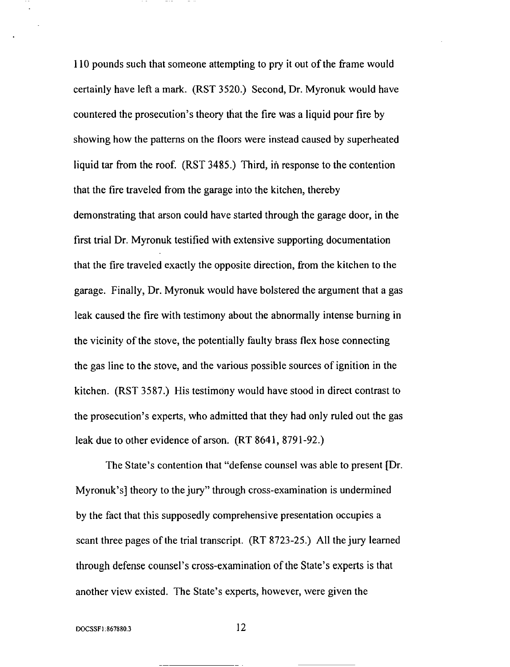110 pounds such that someone attempting to pry it out of the frame would certainly have left a mark. (RST 3520.) Second, Dr. Myronuk would have countered the prosecution's theory that the fire was a liquid pour fire by showing how the patterns on the floors were instead caused by superheated liquid tar from the roof. (RST 3485.) Third, in response to the contention that the fire traveled from the garage into the kitchen, thereby demonstrating that arson could have started through the garage door, in the first trial Dr. Myronuk testified with extensive supporting documentation that the fire traveled exactly the opposite direction, from the kitchen to the garage. Finally, Dr. Myronuk would have bolstered the argument that a gas leak caused the fire with testimony about the abnormally intense burning in the vicinity of the stove, the potentially faulty brass flex hose connecting the gas line to the stove, and the various possible sources of ignition in the kitchen. (RST 3587.) His testimony would have stood in direct contrast to the prosecution's experts, who admitted that they had only ruled out the gas leak due to other evidence of arson. (RT 8641, 8791-92.)

The State's contention that "defense counsel was able to present [Dr. Myronuk's] theory to the jury" through cross-examination is undermined by the fact that this supposedly comprehensive presentation occupies a scant three pages of the trial transcript. (RT 8723-25.) *All* the jury learned through defense counsel's cross-examination of the State's experts is that another view existed. The State's experts, however, were given the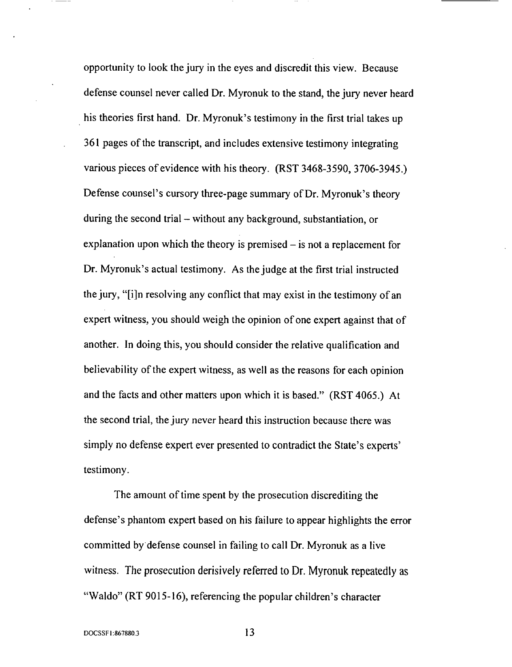opportunity to look the jury in the eyes and discredit this view. Because defense counsel never called Dr. Myronuk to the stand, the jury never heard his theories first hand. Dr. Myronuk's testimony in the first trial takes up 361 pages of the transcript, and includes extensive testimony integrating various pieces of evidence with his theory. (RST 3468-3590, 3706-3945.) Defense counsel's cursory three-page summary of Dr. Myronuk's theory during the second trial – without any background, substantiation, or explanation upon which the theory is premised  $-$  is not a replacement for Dr. Myronuk's actual testimony. As the judge at the first trial instructed the jury, "[i]n resolving any conflict that may exist in the testimony of an expert witness, you should weigh the opinion of one expert against that of another. In doing this, you should consider the relative qualification and believability of the expert witness, as well as the reasons for each opinion and the facts and other matters upon which it is based." (RST 4065.) *At* the second trial, the jury never heard this instruction because there was simply no defense expert ever presented to contradict the State's experts' testimony.

The amount of time spent by the prosecution discrediting the defense's phantom expert based on his failure to appear highlights the error committed by defense counsel in failing to call Dr. Myronuk as a live witness. *The* prosecution derisively referred to Dr. Myronuk repeatedly as "Waldo" (RT 9015-16), referencing the popular children's character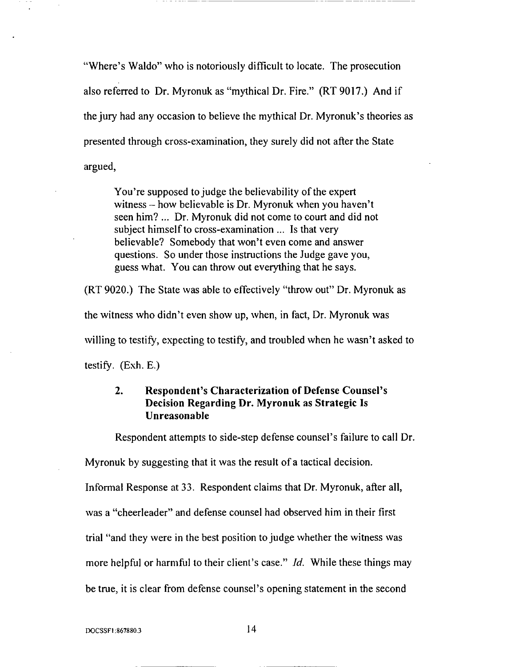"Where's Waldo" who is notoriously difficult to locate. The prosecution also referred to Dr. Myronuk as "mythical Dr. Fire." (RT 9017.) And if the jury had any occasion to believe the mythical Dr. Myronuk's theories as presented through cross-examination, they surely did not after the State argued,

You're supposed to judge the believability of the expert witness  $-$  how believable is Dr. Myronuk when you haven't seen him? ... Dr. Myronuk did not come to court and did not subject himself to cross-examination ... Is that very believable? Somebody that won't even come and answer questions. So under those instructions the Judge gave you, guess what. You can throw out everything that he says.

(RT 9020.) The State was able to effectively "throw out" Dr. Myronuk as the witness who didn't even show up, when, in fact, Dr. Myronuk was willing to testify, expecting to testify, and troubled when he wasn't asked to testify.  $(Exh. E.)$ 

## 2. Respondent's Characterization of Defense Counsel's Decision Regarding Dr. Myronuk as Strategic Is Unreasonable

Respondent attempts to side-step defense counsel's failure to call Dr.

Myronuk by suggesting that it was the result of a tactical decision. Informal Response at 33. Respondent claims that Dr. Myronuk, after all, was a "cheerleader" and defense counsel had observed him in their first trial "and they were in the best position to judge whether the witness was more helpful or harmful to their client's case." *ld.* While these things may be true, it is clear from defense counsel's opening statement in the second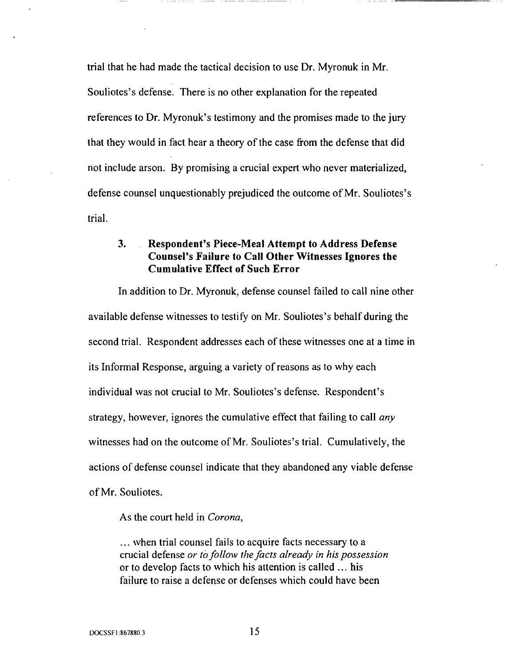trial that he had made the tactical decision to use Dr. Myronuk in Mr. Souliotes's defense. There is no other explanation for the repeated references to Dr. Myronuk's testimony and the promises made to the jury that they would in fact hear a theory of the case from the defense that did not include arson. By promising a crucial expert who never materialized, defense counsel unquestionably prejudiced the outcome of Mr. Souliotes's trial.

## **3. Respondent's** Piece-Meal **Attempt to Address Defense Counsel's Failure** to **Call Other Witnesses Ignores the Cumulative Effect of Such Error**

**In addition to Dr. Myronuk, defense counsel failed to** call **nine other available defense** witnesses to testify on Mr. Souliotes's behalf during the second trial. Respondent addresses each of these witnesses one at a time in its Informal Response, arguing a variety of reasons as to why each individual was not crucial to Mr. Souliotes's defense. Respondent's strategy, however, ignores the cumulative effect that failing to call *any* witnesses had on the outcome of Mr. Souliotes's trial. Cumulatively, the actions of defense counsel indicate that they abandoned any viable defense of Mr. Souliotes.

As the court held in *Corona,*

... when trial counsel fails to acquire facts necessary to a crucial defense *or tOfollow the facts already in his possession* or to develop facts to which his attention is called ... his failure to raise a defense or defenses which could have been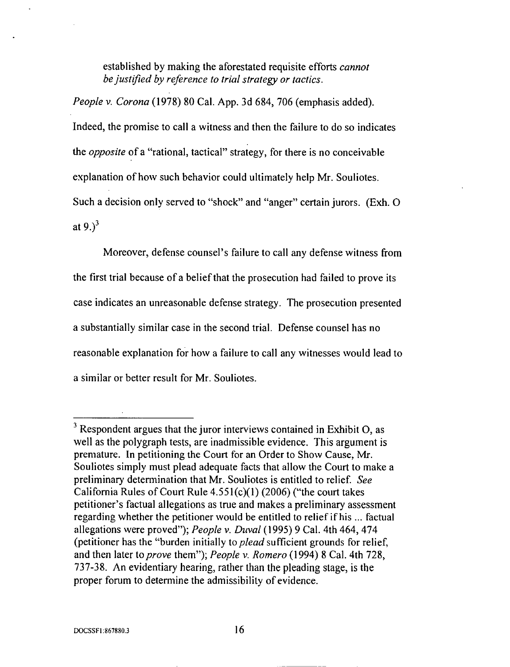established by making the aforestated requisite efforts *cannot be justified by reference to trial strategy or tactics.*

*People v. Corona* (1978) 80 Cal. App. 3d 684, 706 (emphasis added). Indeed, the promise to call a witness and then the failure to do so indicates the *opposite* of a "rational, tactical" strategy, for there is no conceivable explanation of how such behavior could ultimately help Mr. Souliotes. Such a decision only served to "shock" and "anger" certain jurors. (Exh. O at  $9.$ <sup>3</sup>

Moreover, defense counsel's failure to call any **defense** witness from the first trial because of a belief that the prosecution had failed to prove its case indicates an unreasonable defense strategy. The prosecution presented a substantially similar case in the second trial. Defense counsel has no reasonable explanation for how a failure to call any witnesses would lead to a similar or better result for Mr. Souliotes.

 $3$  Respondent argues that the juror interviews contained in Exhibit O, as well as the polygraph tests, are inadmissible evidence. This argument is premature. In petitioning the Court for an Order to Show Cause, Mr. Souliotes simply must plead adequate facts that allow the Court to make a preliminary determination that Mr. Souliotes is entitled to relief. *See* California Rules of Court Rule  $4.551(c)(1)$  (2006) ("the court takes petitioner's factual allegations as true and makes a preliminary assessment regarding whether the petitioner would be entitled to relief if his ... factual allegations were proved"); *People v. Duval* (1995) 9 Cal. 4th 464, 474 (petitioner has the "burden initially to *plead* sufficient grounds for relief, and then later to *prove* them"); *People v. Romero* (1994) 8 Cal. 4th 728, 737-38. *An* evidentiary hearing, rather than the pleading stage, is the proper forum to determine the admissibility of evidence.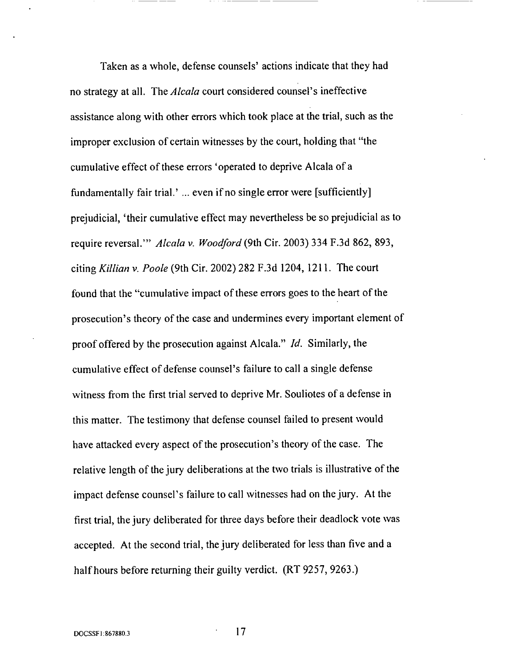Taken as a whole, defense counsels' actions indicate **that they** had no strategy at all. The *Alcala* court considered counsel's ineffective assistance along with other errors which took place at the trial, such as the improper exclusion of certain witnesses by the court, holding that "the cumulative effect of these errors 'operated to deprive Alcala of a fundamentally fair trial.' ... even if no single error were [sufficiently] prejudicial, 'their cumulative effect may nevertheless be so prejudicial as to require reversal.'" *Alcala v. Woodford* (9th Cir. 2003) 334 F.3d 862, 893, citing *Killian v. Poole* (9th Cir. 2002) 282 F.3d 1204, 1211. The court found that the "cumulative impact of these errors goes to the heart of the prosecution's theory of the case and undermines every important element of proof offered by the prosecution against Alcala." *Id.* Similarly, the cumulative effect of defense counsel's failure to call a single defense witness from the first trial served to deprive Mr. Souliotes of a defense in this matter. The testimony that defense counsel failed to present would have attacked every aspect of the prosecution's theory of the case. The relative length of the jury deliberations at the two trials is illustrative of the impact defense counsel's failure to call witnesses had on the jury. At the first trial, the jury deliberated for three days before their deadlock vote was accepted. *At* the second trial, the jury deliberated for less than five and a half hours before returning their guilty verdict. (RT 9257, 9263.)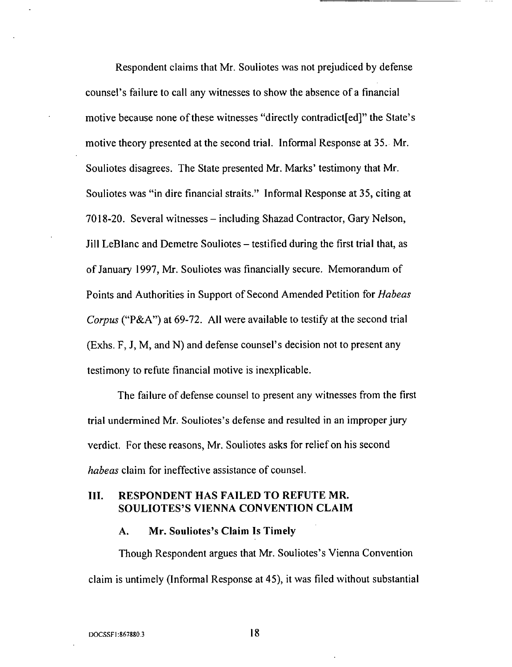Respondent claims that Mr. Souliotes was not prejudiced by defense counsel's failure to call any witnesses to show the absence of a financial motive because none of these witnesses "directly contradict [ed]" the State's motive theory presented at the second trial. Informal Response at 35. Mr. Souliotes disagrees. The State presented Mr. Marks' testimony that Mr. Souliotes was "in dire financial straits." Informal Response at 35, citing at 7018-20. Several witnesses - including Shazad Contractor, Gary Nelson, Jill LeBlanc and Demetre Souliotes – testified during the first trial that, as of January 1997, Mr. Souliotes was financially secure. Memorandum of Points and Authorities in Support of Second Amended Petition for *Habeas Corpus* ("P&A") at 69-72. All were available to testify at the second trial (Exhs. F, J, M, and N) and defense counsel's decision not to present any testimony to refute financial motive is inexplicable.

The failure of defense counsel to present any witnesses from the first trial undermined Mr. Souliotes's defense and resulted in an improper jury verdict. For these reasons, Mr. Souliotes asks for relief on his second *habeas* claim for ineffective assistance of counsel.

#### III. RESPONDENT HAS **FAILED** TO REFUTE MR. SOULIOTES'S VIENNA CONVENTION CLAIM

#### A. Mr. Souliotes's Claim Is Timely

Though Respondent argues that Mr. Souliotes's Vienna Convention claim is untimely (Informal Response at 45), it was filed without substantial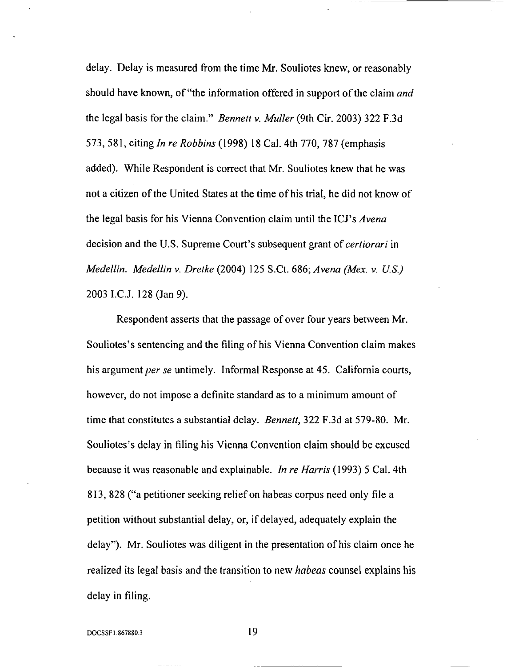delay. Delay **is** measured from the time Mr. Souliotes knew, or reasonably should have known, of"the information offered in support of the claim *and* the legal basis for the claim." *Bennett v. Muller* (9th Cir. 2003) 322 F.3d 573,581, citing *In re Robbins* (1998) 18 Cal. 4th 770, 787 (emphasis added). While Respondent is correct that Mr. Souliotes knew that he was not a citizen of the United States at the time of his trial, he did not know of the legal basis for his Vienna Convention claim until the ICJ's *Avena* decision and the U.S. Supreme Court's subsequent grant of *certiorari* in *Medellin. Medellin v. Dretke* (2004) 125 S.Ct. 686; *Avena (Mex. v. U.S.)* 2003 I.C.J. 128 (Jan 9).

Respondent asserts that the passage of over four years between Mr. Souliotes's sentencing and the filing of his Vienna Convention claim makes his argument *per se* untimely. Informal Response at 45. California courts, however, do not impose a definite standard as to a minimum amount of time that constitutes a substantial delay. *Bennett,* 322 F.3d at 579-80. Mr. Souliotes's delay in filing his Vienna Convention claim should be excused because it was reasonable and explainable. *In re Harris* (1993) 5 Cal. 4th 813,828 ("a petitioner seeking relief on habeas corpus need only file a petition without substantial delay, or, if delayed, adequately explain the delay"). Mr. Souliotes was diligent in the presentation of his claim once he realized its legal basis and the transition to new *habeas* counsel explains his delay in filing.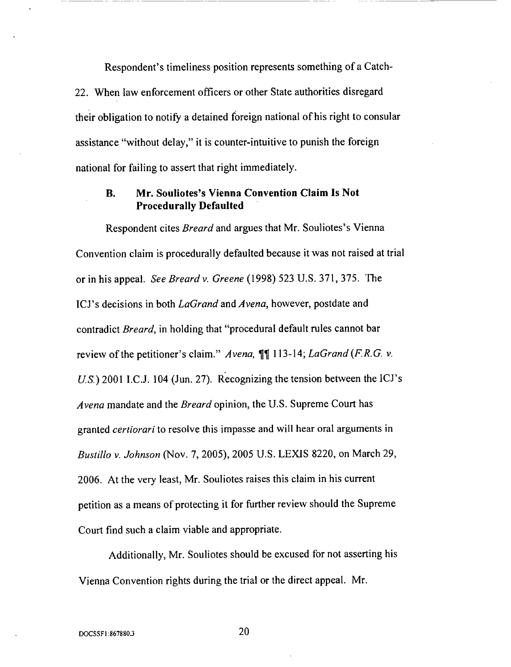Respondent's timeliness position represents something of a Catch-22. When law enforcement officers or other State authorities disregard their obligation to notify a detained foreign national of his right to consular assistance "without delay," it is counter-intuitive to punish the foreign national for failing to assert that right immediately.

#### B. Mr. Souliotes's Vienna *Convention* Claim Is Not Procedurally Defaulted

Respondent cites *Breard* and argues that Mr. Souliotes's Vienna Convention claim is procedurally defaulted because it was not raised at trial or in his appeal. *See Breard v. Greene* (1998) 523 U.S. 371,375. *The* ICJ's decisions in both *LaGrand* and *Avena,* however, postdate and contradict *Breard,* in holding that "procedural default rules cannot bar review of the petitioner's claim." *Avena,* ¶¶ 113-14; *LaGrand* (F.R.G.v. *U.S.)* 2001 I.C.J. 104 (Jun. 27). Recognizing the tension between the ICJ's *Avena* mandate and the *Breard* opinion, the U.S. Supreme Court has granted *certiorari* to resolve this impasse and will hear oral arguments in *Bustillo v. Johnson* (Nov. 7, 2005), 2005 U.S. LEXIS 8220, on March 29, 2006. At the very least, Mr. Souliotes raises this claim in his current petition as a means of protecting it for further review should the Supreme Court find such a claim viable and appropriate.

Additionally, Mr. Souliotes should be excused for not asserting his Vienna Convention rights during the trial or the direct appeal. Mr.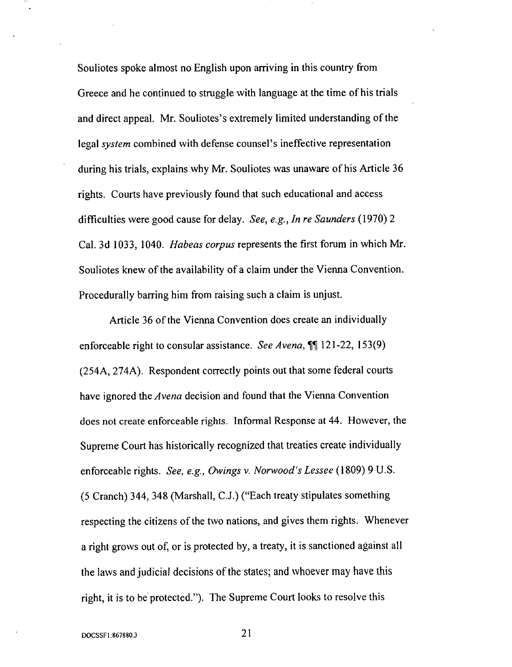Souliotes spoke almost no English upon arriving in this country from Greece and he continued to struggle with language at the time of his trials and direct appeal. Mr. Souliotes's extremely limited understanding of the legal*system* combined with defense counsel's ineffective representation during his trials, explains why Mr. Souliotes was unaware of his Article 36 rights. Courts have previously found that such educational and access difficulties were good cause for delay. *See, e.g., In re Saunders* (1970) 2 Cal. 3d 1033, 1040. *Habeas corpus* represents the first forum in which Mr. Souliotes knew of the availability of a claim under the Vienna Convention. Procedurally barring him from raising such a claim is unjust.

Article 36 of the Vienna Convention does create an individually enforceable right to consular assistance. *See Avena,* ¶¶ 121-22, ! 53(9) (254A, 274A). Respondent correctly points out that some federal courts have ignored the *Avena* decision and found that the Vienna Convention does not create enforceable rights. Informal Response at 44. However, the Supreme Court has historically recognized that treaties create individually enforceable rights. *See, e.g., Owings v. Norwood's Lessee* (1809) 9 U.S. (5 Cranch) 344, 348 (Marshall, C.J.) ("Each treaty stipulates something respecting the citizens of the two nations, and gives them rights. Whenever a right grows out of, or is protected by, a treaty, it is sanctioned against all the laws and judicial decisions of the states; and whoever may have this right, it is to be protected."). The Supreme Court looks to resolve this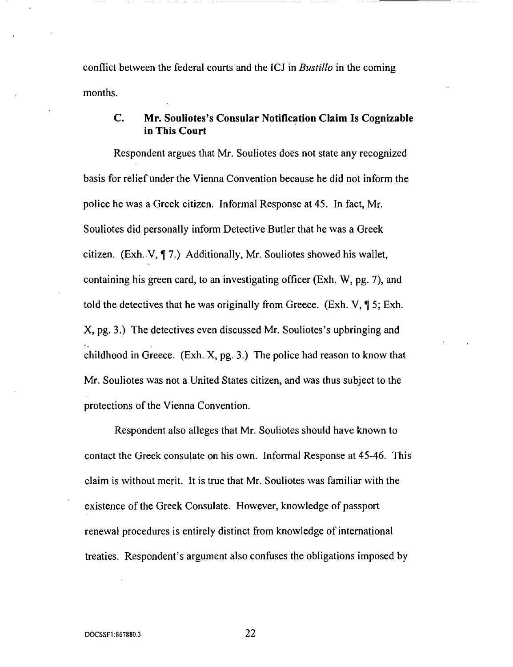conflict between the federal courts and the ICJ in *Bustillo* in the coming months.

### **C. Mr. Souliotes's** Consular **Notification** Claim **Is** Cognizable **in This** Court

Respondent argues that Mr. Souliotes does not state any recognized basis for relief under the Vienna Convention because he did not inform the police he was a Greek citizen. Informal Response at 45. In fact, Mr. Souliotes did personally inform Detective Butler that he was a Greek citizen. (Exh. V, ¶ 7.) Additionally, Mr. Souliotes showed his wallet, containing his green card, to an investigating officer (Exh. W, pg. 7), and told the detectives that he was originally from Greece. (Exh. V, ¶ 5; Exh. X, pg. 3.) The detectives even discussed Mr. Souliotes's upbringing and childhood in Greece. (Exh. X, pg. 3.) *The* police had reason to know that Mr. Souliotes was not a United States citizen, and was thus subject to the protections of the Vienna Convention.

Respondent also alleges that Mr. Souliotes should have known to contact the Greek consulate on his own. Informal Response at 45-46. This claim is without merit. It is true that Mr. Souliotes was familiar with the existence of the Greek Consulate. However, knowledge of passport renewal procedures is entirely distinct from knowledge of international treaties. Respondent's argument also confuses the obligations imposed by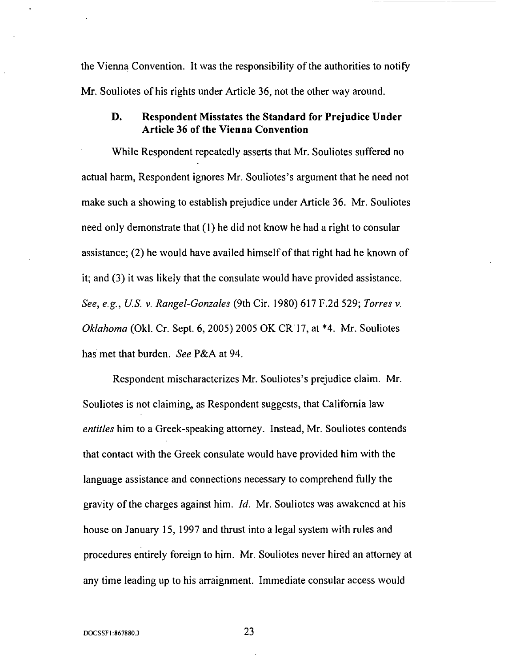the Vienna Convention. It was the responsibility of the authorities to notify Mr. Souliotes of his rights under Article 36, not the other way around.

#### D. Respondent Misstates the Standard for Prejudice Under Article 36 of *the* Vienna Convention

While Respondent repeatedly asserts that Mr. Souliotes suffered no actual harm, Respondent ignores Mr. Souliotes's argument that he need not make such a showing to establish prejudice under Article 36. Mr. Souliotes need only demonstrate that (1) he did not know he had a right to consular assistance; (2) he would have availed himself of that right had he known of it; and (3) it was likely that the consulate would have provided assistance. *See, e.g., U.S. v. Rangel-Gonzales* (9th Cir. 1980) 617 F.2d 529; *Torres v. Oklahoma* (Okl. Cr. Sept. 6, 2005) 2005 OK CR17, at \*4. Mr. Souliotes has met that burden. *See* P&A at 94.

Respondent mischaracterizes Mr. Souliotes's prejudice claim. Mr. Souliotes is not claiming, as Respondent suggests, that California law *entitles* him to a Greek-speaking attorney. Instead, Mr. Souliotes contends that contact with the Greek consulate would have provided him with the language assistance and connections necessary to comprehend fully the gravity of the charges against him. *ld.* Mr. Souliotes was awakened at his house on January 15, 1997 and thrust into a legal system with rules and procedures entirely foreign to him. Mr. Souliotes never hired an attorney at any time leading up to his arraignment. Immediate consular access would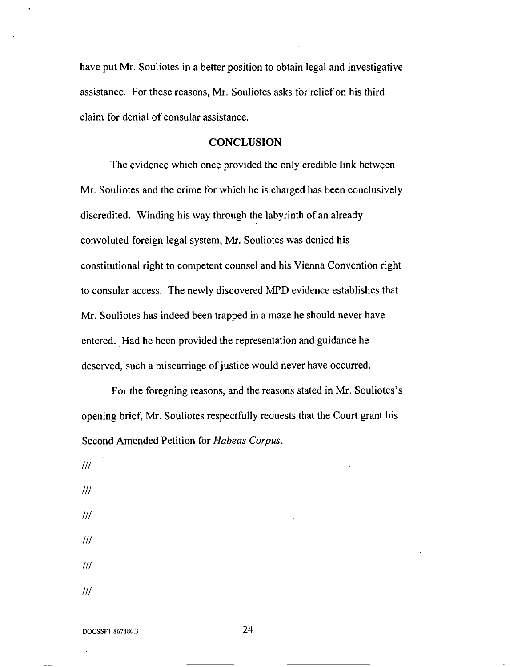have put Mr. Souliotes in a better position to obtain legal and investigative assistance. For these reasons, Mr. Souliotes asks for relief on his third claim for denial of consular assistance.

#### *CONCLUSION*

The evidence which once provided the only credible link between Mr. Souliotes and the crime for which he is charged has been conclusively discredited. Winding his way through the labyrinth of an already convoluted foreign legal system, Mr. Souliotes was denied his constitutional right to competent counsel and his Vienna Convention right to consular access. The newly discovered MPD evidence establishes that Mr. Souliotes has indeed been trapped in a maze he should never have entered. Had he been provided the representation and guidance he deserved, such a miscarriage of justice would never have occurred.

For the foregoing reasons, and the reasons stated in Mr. Souliotes's opening brief, Mr. Souliotes respectfully requests that the Court grant his Second Amended Petition for *Habeas Corpus.*

*/// /// /// /// /// ///*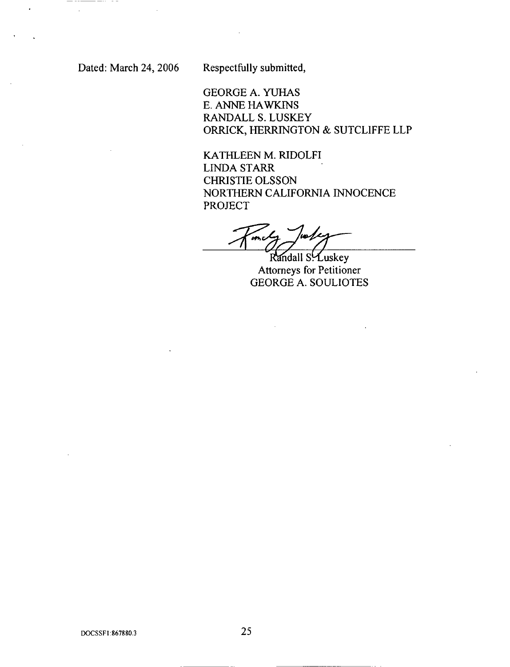\_\_\_\_\_\_\_\_\_\_\_\_

 $\ddot{\phantom{a}}$ 

Dated: March 24, 2006 Respectfully submitted,

GEORGE A. YUHAS E. ANNE HAWKINS RANDALL S.LUSKEY ORRICK, HERRINGTON & SUTCL1FFELLP

KATHLEEN M. RIDOLFI LINDA STARR CHRISTIE OLSSON NORTHERN CALIFORNIA INNOCENCE PROJECT

Randall S. Luskey Attorneys for Petitioner GEORGE *A.* SOULIOTES